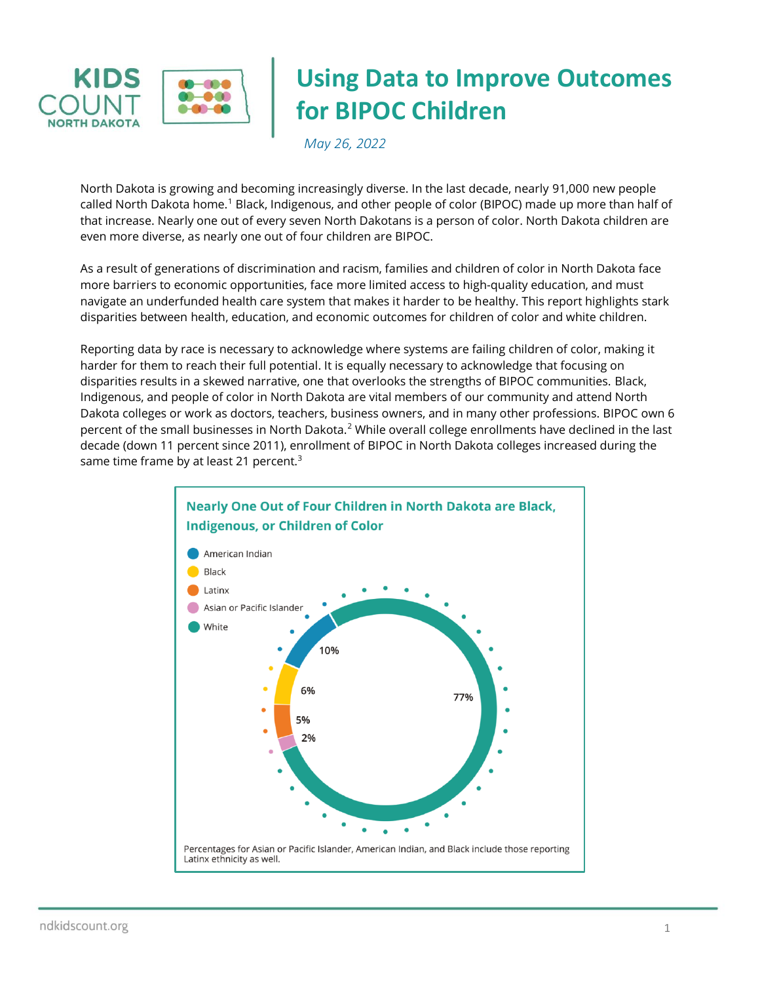

# **Using Data to Improve Outcomes for BIPOC Children**

*May 26, 2022*

North Dakota is growing and becoming increasingly diverse. In the last decade, nearly 91,000 new people called North Dakota home.<sup>1</sup> Black, Indigenous, and other people of color (BIPOC) made up more than half of that increase. Nearly one out of every seven North Dakotans is a person of color. North Dakota children are even more diverse, as nearly one out of four children are BIPOC.

As a result of generations of discrimination and racism, families and children of color in North Dakota face more barriers to economic opportunities, face more limited access to high-quality education, and must navigate an underfunded health care system that makes it harder to be healthy. This report highlights stark disparities between health, education, and economic outcomes for children of color and white children.

Reporting data by race is necessary to acknowledge where systems are failing children of color, making it harder for them to reach their full potential. It is equally necessary to acknowledge that focusing on disparities results in a skewed narrative, one that overlooks the strengths of BIPOC communities. Black, Indigenous, and people of color in North Dakota are vital members of our community and attend North Dakota colleges or work as doctors, teachers, business owners, and in many other professions. BIPOC own 6 percent of the small businesses in North Dakota.<sup>2</sup> While overall college enrollments have declined in the last decade (down 11 percent since 2011), enrollment of BIPOC in North Dakota colleges increased during the same time frame by at least 21 percent. $3$ 

<span id="page-0-0"></span>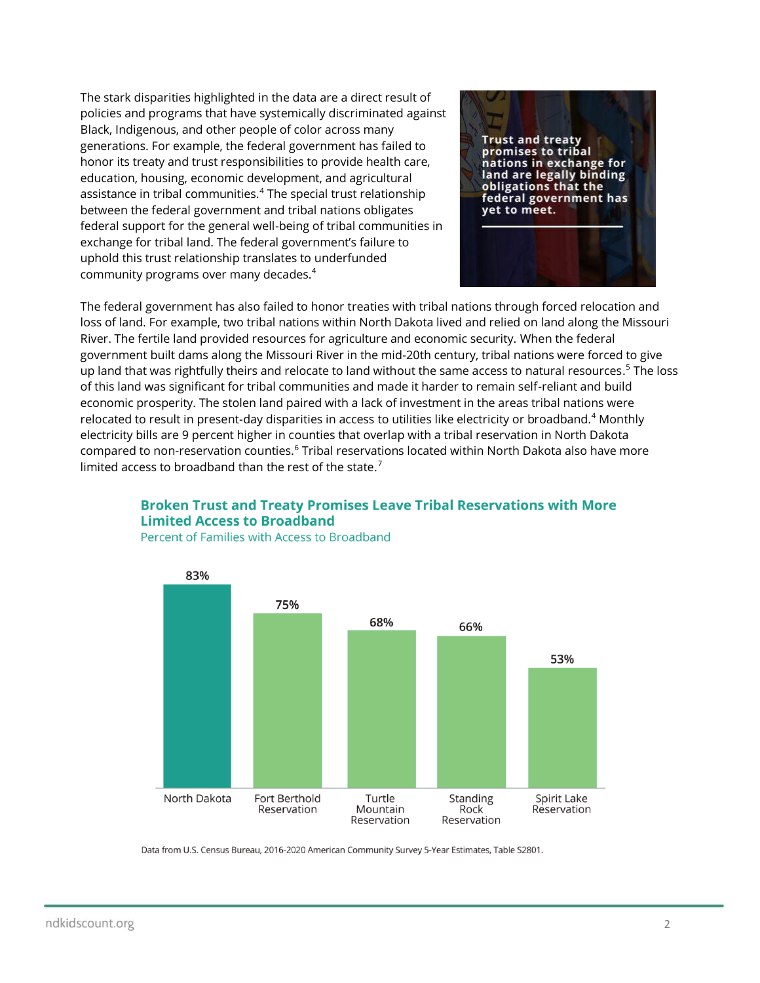<span id="page-1-0"></span>The stark disparities highlighted in the data are a direct result of policies and programs that have systemically discriminated against Black, Indigenous, and other people of color across many generations. For example, the federal government has failed to honor its treaty and trust responsibilities to provide health care, education, housing, economic development, and agricultural assistance in tribal communities.<sup>4</sup> The special trust relationship between the federal government and tribal nations obligates federal support for the general well-being of tribal communities in exchange for tribal land. The federal government's failure to uphold this trust relationship translates to underfunded community programs over many decades[.](#page-1-0)<sup>4</sup>



The federal government has also failed to honor treaties with tribal nations through forced relocation and loss of land. For example, two tribal nations within North Dakota lived and relied on land along the Missouri River. The fertile land provided resources for agriculture and economic security. When the federal government built dams along the Missouri River in the mid-20th century, tribal nations were forced to give up land that was rightfully theirs and relocate to land without the same access to natural resources.<sup>5</sup> The loss of this land was significant for tribal communities and made it harder to remain self-reliant and build economic prosperity. The stolen land paired with a lack of investment in the areas tribal nations were relocated to result in present-day disparities in access to utilities like electricity or broadband.[4](#page-1-0) Monthly electricity bills are 9 percent higher in counties that overlap with a tribal reservation in North Dakota compared to non-reservation counties.<sup>6</sup> Tribal reservations located within North Dakota also have more limited access to broadband than the rest of the state.<sup>7</sup>





Percent of Families with Access to Broadband

Data from U.S. Census Bureau, 2016-2020 American Community Survey 5-Year Estimates, Table S2801.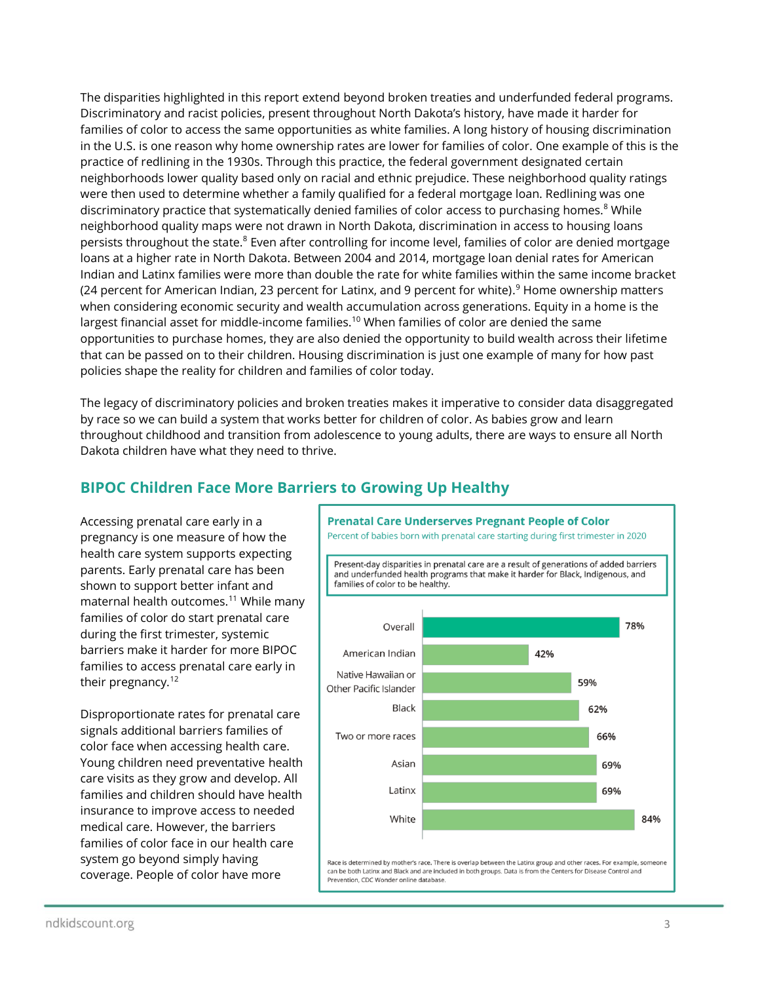The disparities highlighted in this report extend beyond broken treaties and underfunded federal programs. Discriminatory and racist policies, present throughout North Dakota's history, have made it harder for families of color to access the same opportunities as white families. A long history of housing discrimination in the U.S. is one reason why home ownership rates are lower for families of color. One example of this is the practice of redlining in the 1930s. Through this practice, the federal government designated certain neighborhoods lower quality based only on racial and ethnic prejudice. These neighborhood quality ratings were then used to determine whether a family qualified for a federal mortgage loan. Redlining was one discriminatory practice that systematically denied families of color access to purchasing homes.<sup>8</sup> While neighborhood quality maps were not drawn in North Dakota, discrimination in access to housing loans persists throughout the state.<sup>[8](#page-2-0)</sup> Even after controlling for income level, families of color are denied mortgage loans at a higher rate in North Dakota. Between 2004 and 2014, mortgage loan denial rates for American Indian and Latinx families were more than double the rate for white families within the same income bracket (24 percent for American Indian, 23 percent for Latinx, and 9 percent for white).<sup>9</sup> Home ownership matters when considering economic security and wealth accumulation across generations. Equity in a home is the largest financial asset for middle-income families.<sup>10</sup> When families of color are denied the same opportunities to purchase homes, they are also denied the opportunity to build wealth across their lifetime that can be passed on to their children. Housing discrimination is just one example of many for how past policies shape the reality for children and families of color today.

The legacy of discriminatory policies and broken treaties makes it imperative to consider data disaggregated by race so we can build a system that works better for children of color. As babies grow and learn throughout childhood and transition from adolescence to young adults, there are ways to ensure all North Dakota children have what they need to thrive.

# **BIPOC Children Face More Barriers to Growing Up Healthy**

Accessing prenatal care early in a pregnancy is one measure of how the health care system supports expecting parents. Early prenatal care has been shown to support better infant and maternal health outcomes.<sup>11</sup> While many families of color do start prenatal care during the first trimester, systemic barriers make it harder for more BIPOC families to access prenatal care early in their pregnancy.<sup>12</sup>

Disproportionate rates for prenatal care signals additional barriers families of color face when accessing health care. Young children need preventative health care visits as they grow and develop. All families and children should have health insurance to improve access to needed medical care. However, the barriers families of color face in our health care system go beyond simply having coverage. People of color have more

<span id="page-2-1"></span><span id="page-2-0"></span>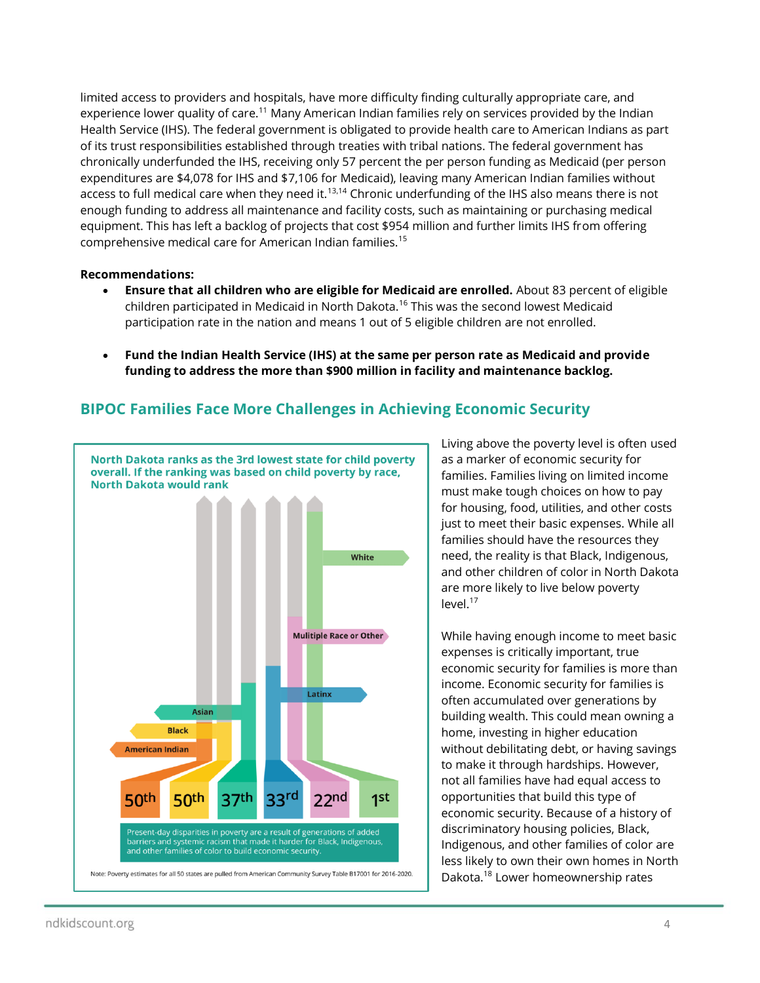limited access to providers and hospitals, have more difficulty finding culturally appropriate care, and experience lower quality of care.<sup>[11](#page-2-1)</sup> Many American Indian families rely on services provided by the Indian Health Service (IHS). The federal government is obligated to provide health care to American Indians as part of its trust responsibilities established through treaties with tribal nations. The federal government has chronically underfunded the IHS, receiving only 57 percent the per person funding as Medicaid (per person expenditures are \$4,078 for IHS and \$7,106 for Medicaid), leaving many American Indian families without access to full medical care when they need it.<sup>13,14</sup> Chronic underfunding of the IHS also means there is not enough funding to address all maintenance and facility costs, such as maintaining or purchasing medical equipment. This has left a backlog of projects that cost \$954 million and further limits IHS from offering comprehensive medical care for American Indian families.<sup>15</sup>

#### **Recommendations:**

- **Ensure that all children who are eligible for Medicaid are enrolled.** About 83 percent of eligible children participated in Medicaid in North Dakota.<sup>16</sup> This was the second lowest Medicaid participation rate in the nation and means 1 out of 5 eligible children are not enrolled.
- **Fund the Indian Health Service (IHS) at the same per person rate as Medicaid and provide funding to address the more than \$900 million in facility and maintenance backlog.**

## **BIPOC Families Face More Challenges in Achieving Economic Security**



Living above the poverty level is often used as a marker of economic security for families. Families living on limited income must make tough choices on how to pay for housing, food, utilities, and other costs just to meet their basic expenses. While all families should have the resources they need, the reality is that Black, Indigenous, and other children of color in North Dakota are more likely to live below poverty level.<sup>17</sup>

While having enough income to meet basic expenses is critically important, true economic security for families is more than income. Economic security for families is often accumulated over generations by building wealth. This could mean owning a home, investing in higher education without debilitating debt, or having savings to make it through hardships. However, not all families have had equal access to opportunities that build this type of economic security. Because of a history of discriminatory housing policies, Black, Indigenous, and other families of color are less likely to own their own homes in North Dakota.<sup>18</sup> Lower homeownership rates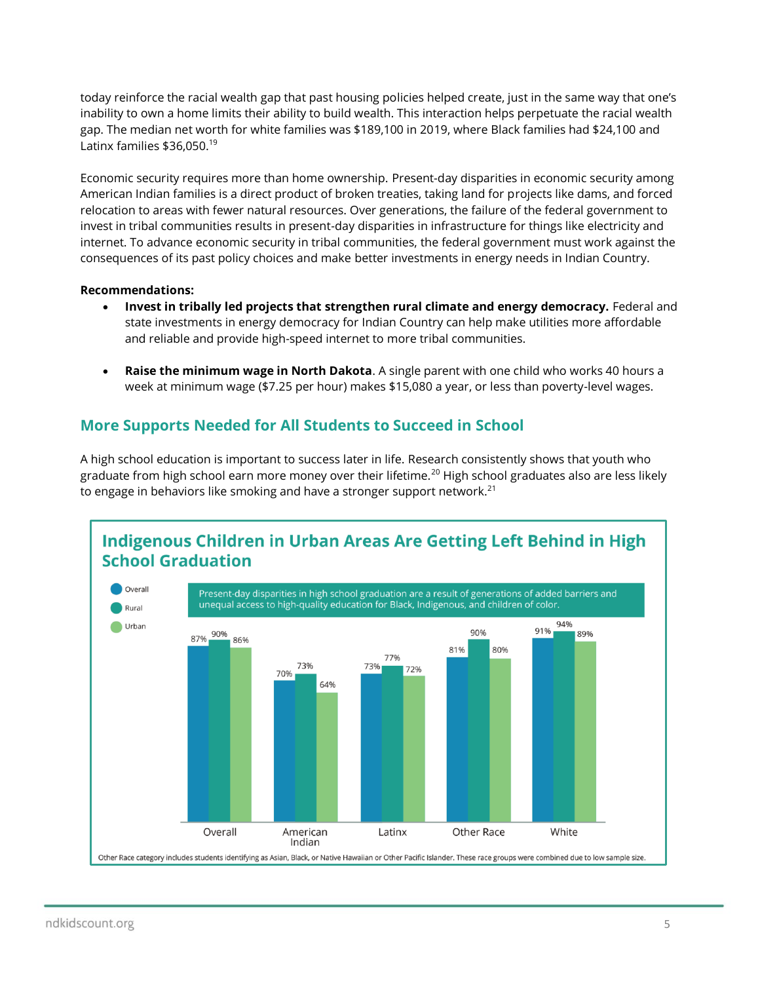today reinforce the racial wealth gap that past housing policies helped create, just in the same way that one's inability to own a home limits their ability to build wealth. This interaction helps perpetuate the racial wealth gap. The median net worth for white families was \$189,100 in 2019, where Black families had \$24,100 and Latinx families \$36,050.<sup>19</sup>

Economic security requires more than home ownership. Present-day disparities in economic security among American Indian families is a direct product of broken treaties, taking land for projects like dams, and forced relocation to areas with fewer natural resources. Over generations, the failure of the federal government to invest in tribal communities results in present-day disparities in infrastructure for things like electricity and internet. To advance economic security in tribal communities, the federal government must work against the consequences of its past policy choices and make better investments in energy needs in Indian Country.

#### **Recommendations:**

- **Invest in tribally led projects that strengthen rural climate and energy democracy.** Federal and state investments in energy democracy for Indian Country can help make utilities more affordable and reliable and provide high-speed internet to more tribal communities.
- **Raise the minimum wage in North Dakota**. A single parent with one child who works 40 hours a week at minimum wage (\$7.25 per hour) makes \$15,080 a year, or less than poverty-level wages.

## **More Supports Needed for All Students to Succeed in School**

A high school education is important to success later in life. Research consistently shows that youth who graduate from high school earn more money over their lifetime.<sup>20</sup> High school graduates also are less likely to engage in behaviors like smoking and have a stronger support network.<sup>21</sup>

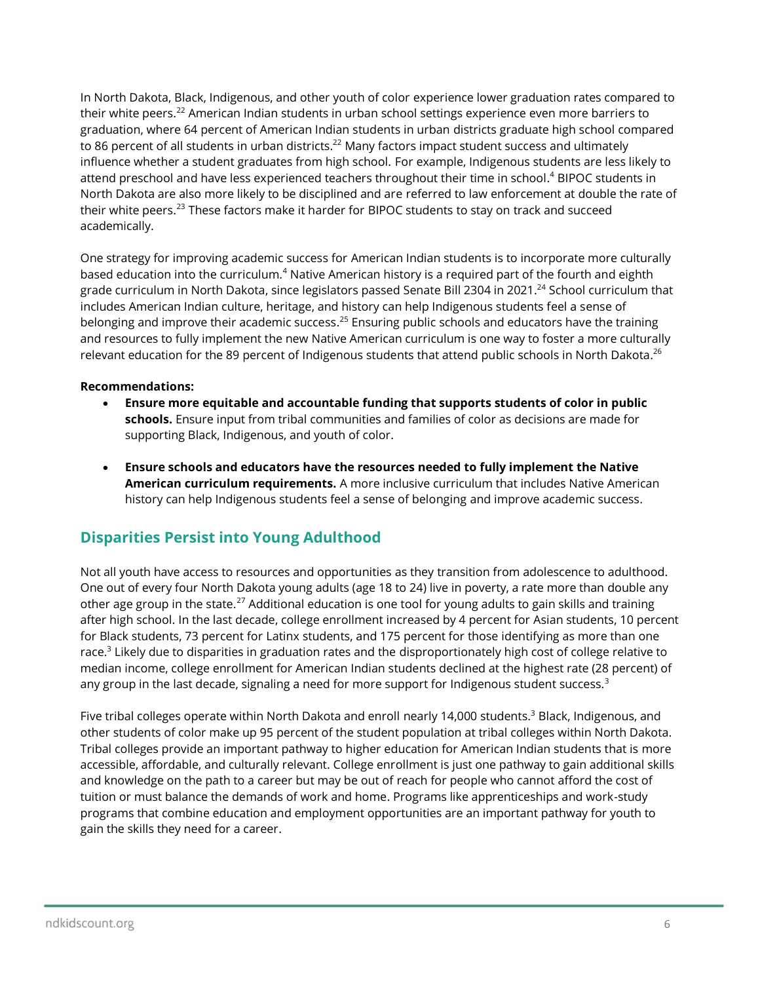<span id="page-5-0"></span>In North Dakota, Black, Indigenous, and other youth of color experience lower graduation rates compared to their white peers.<sup>22</sup> American Indian students in urban school settings experience even more barriers to graduation, where 64 percent of American Indian students in urban districts graduate high school compared to 86 percent of all students in urban districts.<sup>[22](#page-5-0)</sup> Many factors impact student success and ultimately influence whether a student graduates from high school. For example, Indigenous students are less likely to attend preschool and have less experienced teachers throughout their time in school[.](#page-1-0) <sup>4</sup> BIPOC students in North Dakota are also more likely to be disciplined and are referred to law enforcement at double the rate of their white peers.<sup>23</sup> These factors make it harder for BIPOC students to stay on track and succeed academically.

One strategy for improving academic success for American Indian students is to incorporate more culturally based education into the curriculum.<sup>[4](#page-1-0)</sup> Native American history is a required part of the fourth and eighth grade curriculum in North Dakota, since legislators passed Senate Bill 2304 in 2021.<sup>24</sup> School curriculum that includes American Indian culture, heritage, and history can help Indigenous students feel a sense of belonging and improve their academic success.<sup>25</sup> Ensuring public schools and educators have the training and resources to fully implement the new Native American curriculum is one way to foster a more culturally relevant education for the 89 percent of Indigenous students that attend public schools in North Dakota.<sup>26</sup>

## **Recommendations:**

- **Ensure more equitable and accountable funding that supports students of color in public schools.** Ensure input from tribal communities and families of color as decisions are made for supporting Black, Indigenous, and youth of color.
- **Ensure schools and educators have the resources needed to fully implement the Native American curriculum requirements.** A more inclusive curriculum that includes Native American history can help Indigenous students feel a sense of belonging and improve academic success.

# **Disparities Persist into Young Adulthood**

Not all youth have access to resources and opportunities as they transition from adolescence to adulthood. One out of every four North Dakota young adults (age 18 to 24) live in poverty, a rate more than double any other age group in the state.<sup>27</sup> Additional education is one tool for young adults to gain skills and training after high school. In the last decade, college enrollment increased by 4 percent for Asian students, 10 percent for Black students, 73 percent for Latinx students, and 175 percent for those identifying as more than one race[.](#page-0-0)<sup>3</sup> Likely due to disparities in graduation rates and the disproportionately high cost of college relative to median income, college enrollment for American Indian students declined at the highest rate (28 percent) of any group in the last decade, signaling a need for more support for Indigenous student success. $3$ 

Five tribal colleges operate within North Dakota and enroll nearly 14,000 students.<sup>[3](#page-0-0)</sup> Black, Indigenous, and other students of color make up 95 percent of the student population at tribal colleges within North Dakota. Tribal colleges provide an important pathway to higher education for American Indian students that is more accessible, affordable, and culturally relevant. College enrollment is just one pathway to gain additional skills and knowledge on the path to a career but may be out of reach for people who cannot afford the cost of tuition or must balance the demands of work and home. Programs like apprenticeships and work-study programs that combine education and employment opportunities are an important pathway for youth to gain the skills they need for a career.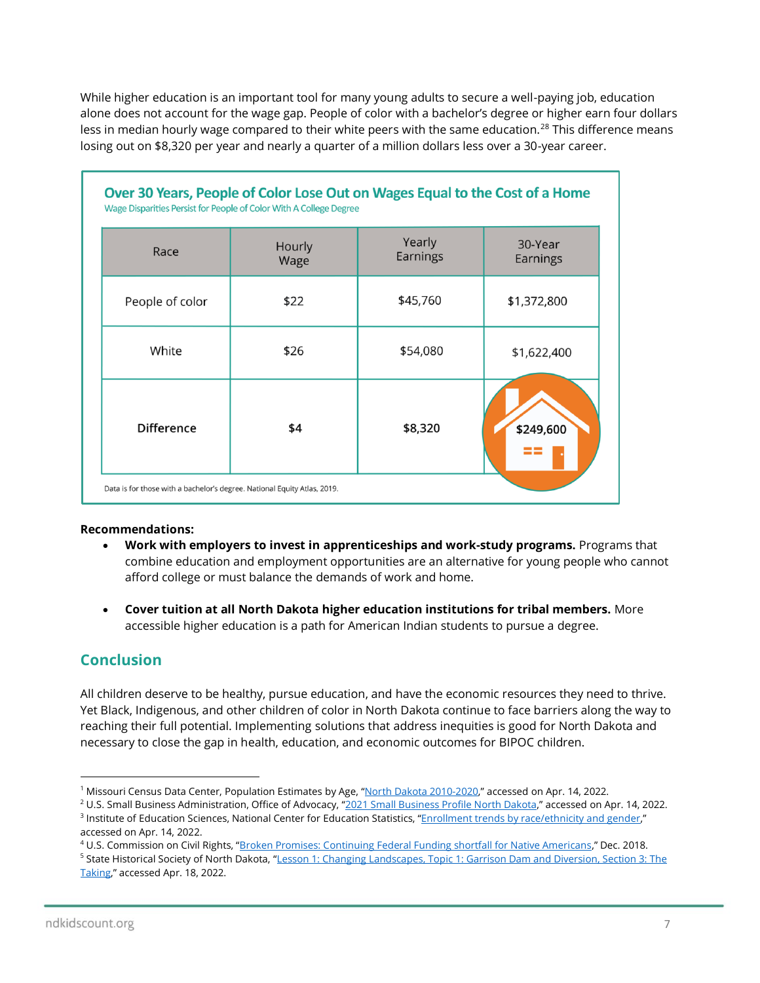While higher education is an important tool for many young adults to secure a well-paying job, education alone does not account for the wage gap. People of color with a bachelor's degree or higher earn four dollars less in median hourly wage compared to their white peers with the same education.<sup>28</sup> This difference means losing out on \$8,320 per year and nearly a quarter of a million dollars less over a 30-year career.

| Race              | Hourly<br>Wage | Yearly<br>Earnings | 30-Year<br>Earnings |
|-------------------|----------------|--------------------|---------------------|
| People of color   | \$22           | \$45,760           | \$1,372,800         |
| White             | \$26           | \$54,080           | \$1,622,400         |
| <b>Difference</b> | \$4            | \$8,320            | \$249,600           |

### **Recommendations:**

- **Work with employers to invest in apprenticeships and work-study programs.** Programs that combine education and employment opportunities are an alternative for young people who cannot afford college or must balance the demands of work and home.
- **Cover tuition at all North Dakota higher education institutions for tribal members.** More accessible higher education is a path for American Indian students to pursue a degree.

## **Conclusion**

All children deserve to be healthy, pursue education, and have the economic resources they need to thrive. Yet Black, Indigenous, and other children of color in North Dakota continue to face barriers along the way to reaching their full potential. Implementing solutions that address inequities is good for North Dakota and necessary to close the gap in health, education, and economic outcomes for BIPOC children.

<sup>&</sup>lt;sup>1</sup> Missouri Census Data Center, Population Estimates by Age, "[North Dakota 2010-2020,](https://mcdc.missouri.edu/applications/population/by-age/report.php?s=38&y=2020%7C2010&d=3%7C5%7C7%7C9%7C4%7C6%7C8%7C10%7C11%7C12&a=0-17%7C0-4%7C18-24)" accessed on Apr. 14, 2022.

<sup>&</sup>lt;sup>2</sup> U.S. Small Business Administration, Office of Advocacy, "[2021 Small Business Profile North Dakota,](https://cdn.advocacy.sba.gov/wp-content/uploads/2021/08/30142548/Small-Business-Economic-Profile-ND.pdf)" accessed on Apr. 14, 2022. <sup>3</sup> Institute of Education Sciences, National Center for Education Statistics, "[Enrollment trends by race/ethnicity and gender,](https://nces.ed.gov/ipeds/SummaryTables/report/270?templateId=2700&years=2020,2019,2018,2017,2016,2015,2014,2013,2012,2011&expand_by=0&tt=aggregate&instType=1)" accessed on Apr. 14, 2022.

<sup>4</sup> U.S. Commission on Civil Rights, "[Broken Promises: Continuing Federal Funding shortfall for Native Americans](https://www.usccr.gov/files/pubs/2018/12-20-Broken-Promises.pdf)," Dec. 2018.

<sup>&</sup>lt;sup>5</sup> State Historical Society of North Dakota, "Lesson 1: Changing Landscapes, Topic 1: Garrison Dam and Diversion, Section 3: The [Taking](https://www.ndstudies.gov/gr8/content/unit-iv-modern-north-dakota-1921-present/lesson-1-changing-landscapes/topic-1-garrison-dam-and-diversion/section-3-taking)," accessed Apr. 18, 2022.